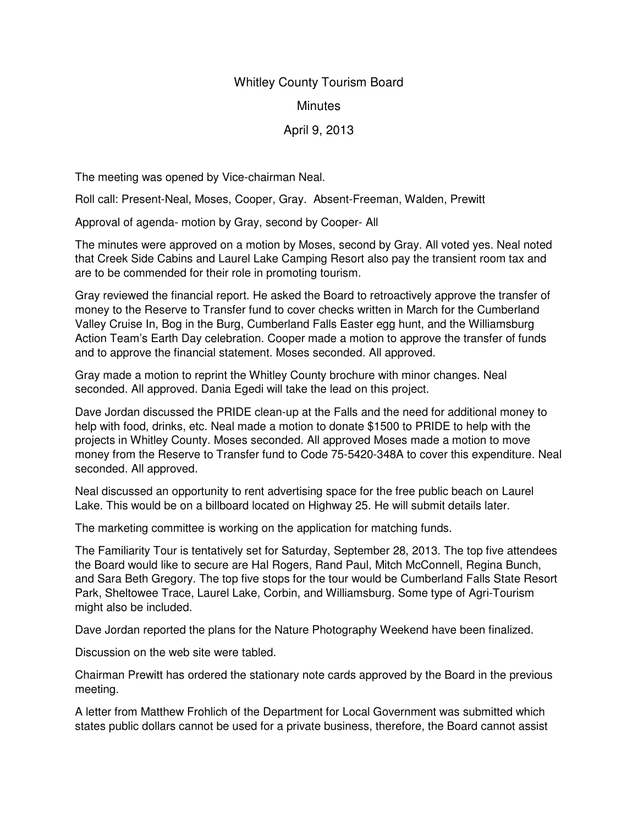## Whitley County Tourism Board

## **Minutes**

## April 9, 2013

The meeting was opened by Vice-chairman Neal.

Roll call: Present-Neal, Moses, Cooper, Gray. Absent-Freeman, Walden, Prewitt

Approval of agenda- motion by Gray, second by Cooper- All

The minutes were approved on a motion by Moses, second by Gray. All voted yes. Neal noted that Creek Side Cabins and Laurel Lake Camping Resort also pay the transient room tax and are to be commended for their role in promoting tourism.

Gray reviewed the financial report. He asked the Board to retroactively approve the transfer of money to the Reserve to Transfer fund to cover checks written in March for the Cumberland Valley Cruise In, Bog in the Burg, Cumberland Falls Easter egg hunt, and the Williamsburg Action Team's Earth Day celebration. Cooper made a motion to approve the transfer of funds and to approve the financial statement. Moses seconded. All approved.

Gray made a motion to reprint the Whitley County brochure with minor changes. Neal seconded. All approved. Dania Egedi will take the lead on this project.

Dave Jordan discussed the PRIDE clean-up at the Falls and the need for additional money to help with food, drinks, etc. Neal made a motion to donate \$1500 to PRIDE to help with the projects in Whitley County. Moses seconded. All approved Moses made a motion to move money from the Reserve to Transfer fund to Code 75-5420-348A to cover this expenditure. Neal seconded. All approved.

Neal discussed an opportunity to rent advertising space for the free public beach on Laurel Lake. This would be on a billboard located on Highway 25. He will submit details later.

The marketing committee is working on the application for matching funds.

The Familiarity Tour is tentatively set for Saturday, September 28, 2013. The top five attendees the Board would like to secure are Hal Rogers, Rand Paul, Mitch McConnell, Regina Bunch, and Sara Beth Gregory. The top five stops for the tour would be Cumberland Falls State Resort Park, Sheltowee Trace, Laurel Lake, Corbin, and Williamsburg. Some type of Agri-Tourism might also be included.

Dave Jordan reported the plans for the Nature Photography Weekend have been finalized.

Discussion on the web site were tabled.

Chairman Prewitt has ordered the stationary note cards approved by the Board in the previous meeting.

A letter from Matthew Frohlich of the Department for Local Government was submitted which states public dollars cannot be used for a private business, therefore, the Board cannot assist